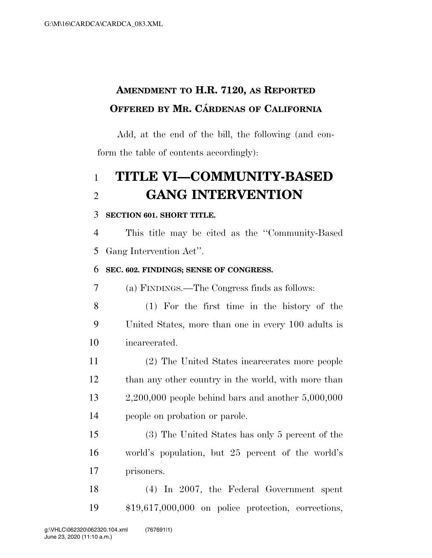## **AMENDMENT TO H.R. 7120, AS REPORTED OFFERED BY MR. CÁRDENAS OF CALIFORNIA**

Add, at the end of the bill, the following (and conform the table of contents accordingly):

# **TITLE VI—COMMUNITY-BASED GANG INTERVENTION**

#### **SECTION 601. SHORT TITLE.**

 This title may be cited as the ''Community-Based Gang Intervention Act''.

#### **SEC. 602. FINDINGS; SENSE OF CONGRESS.**

(a) FINDINGS.—The Congress finds as follows:

- (1) For the first time in the history of the United States, more than one in every 100 adults is incarcerated.
- (2) The United States incarcerates more people 12 than any other country in the world, with more than 2,200,000 people behind bars and another 5,000,000 people on probation or parole.

 (3) The United States has only 5 percent of the world's population, but 25 percent of the world's prisoners.

 (4) In 2007, the Federal Government spent \$19,617,000,000 on police protection, corrections,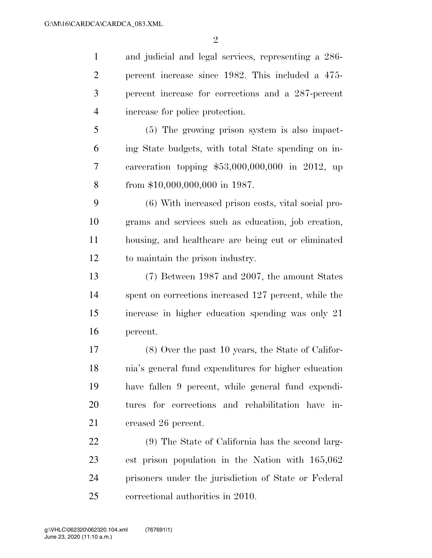$\mathfrak{D}$ 

 and judicial and legal services, representing a 286- percent increase since 1982. This included a 475- percent increase for corrections and a 287-percent increase for police protection.

 (5) The growing prison system is also impact- ing State budgets, with total State spending on in- carceration topping \$53,000,000,000 in 2012, up from \$10,000,000,000 in 1987.

 (6) With increased prison costs, vital social pro- grams and services such as education, job creation, housing, and healthcare are being cut or eliminated to maintain the prison industry.

 (7) Between 1987 and 2007, the amount States spent on corrections increased 127 percent, while the increase in higher education spending was only 21 percent.

 (8) Over the past 10 years, the State of Califor- nia's general fund expenditures for higher education have fallen 9 percent, while general fund expendi- tures for corrections and rehabilitation have in-21 creased 26 percent.

 (9) The State of California has the second larg- est prison population in the Nation with 165,062 prisoners under the jurisdiction of State or Federal correctional authorities in 2010.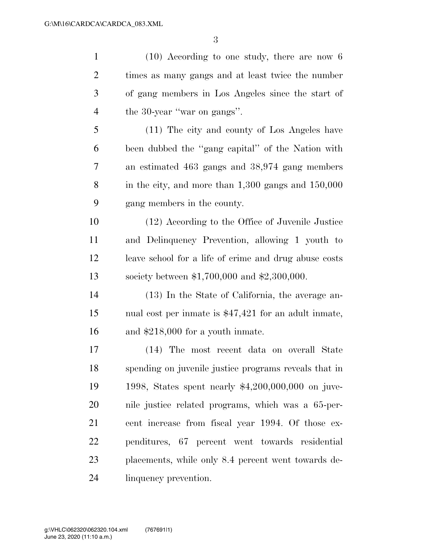(10) According to one study, there are now 6 times as many gangs and at least twice the number of gang members in Los Angeles since the start of the 30-year ''war on gangs''. (11) The city and county of Los Angeles have been dubbed the ''gang capital'' of the Nation with an estimated 463 gangs and 38,974 gang members in the city, and more than 1,300 gangs and 150,000

gang members in the county.

 (12) According to the Office of Juvenile Justice and Delinquency Prevention, allowing 1 youth to leave school for a life of crime and drug abuse costs society between \$1,700,000 and \$2,300,000.

 (13) In the State of California, the average an- nual cost per inmate is \$47,421 for an adult inmate, and \$218,000 for a youth inmate.

 (14) The most recent data on overall State spending on juvenile justice programs reveals that in 1998, States spent nearly \$4,200,000,000 on juve- nile justice related programs, which was a 65-per- cent increase from fiscal year 1994. Of those ex- penditures, 67 percent went towards residential placements, while only 8.4 percent went towards de-linquency prevention.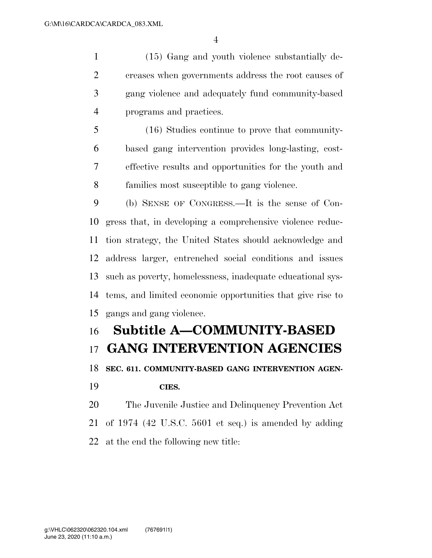(15) Gang and youth violence substantially de- creases when governments address the root causes of gang violence and adequately fund community-based programs and practices.

 (16) Studies continue to prove that community- based gang intervention provides long-lasting, cost- effective results and opportunities for the youth and families most susceptible to gang violence.

 (b) SENSE OF CONGRESS.—It is the sense of Con- gress that, in developing a comprehensive violence reduc- tion strategy, the United States should acknowledge and address larger, entrenched social conditions and issues such as poverty, homelessness, inadequate educational sys- tems, and limited economic opportunities that give rise to gangs and gang violence.

# **Subtitle A—COMMUNITY-BASED GANG INTERVENTION AGENCIES SEC. 611. COMMUNITY-BASED GANG INTERVENTION AGEN-**

### **CIES.**

 The Juvenile Justice and Delinquency Prevention Act of 1974 (42 U.S.C. 5601 et seq.) is amended by adding at the end the following new title: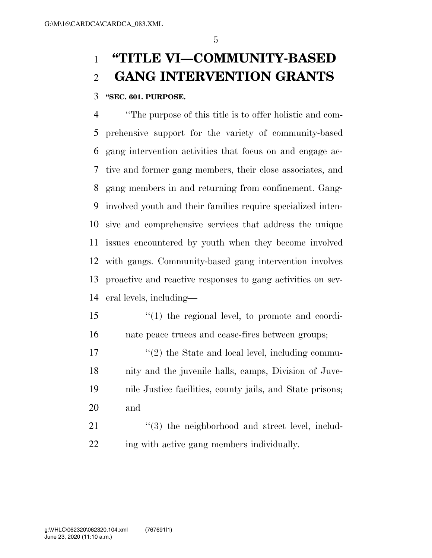## **''TITLE VI—COMMUNITY-BASED GANG INTERVENTION GRANTS**

#### **''SEC. 601. PURPOSE.**

 ''The purpose of this title is to offer holistic and com- prehensive support for the variety of community-based gang intervention activities that focus on and engage ac- tive and former gang members, their close associates, and gang members in and returning from confinement. Gang- involved youth and their families require specialized inten- sive and comprehensive services that address the unique issues encountered by youth when they become involved with gangs. Community-based gang intervention involves proactive and reactive responses to gang activities on sev-eral levels, including—

- ''(1) the regional level, to promote and coordi-nate peace truces and cease-fires between groups;
- 17  $\frac{17}{2}$  the State and local level, including commu- nity and the juvenile halls, camps, Division of Juve- nile Justice facilities, county jails, and State prisons; and
- 21  $\frac{1}{2}$  (3) the neighborhood and street level, includ-ing with active gang members individually.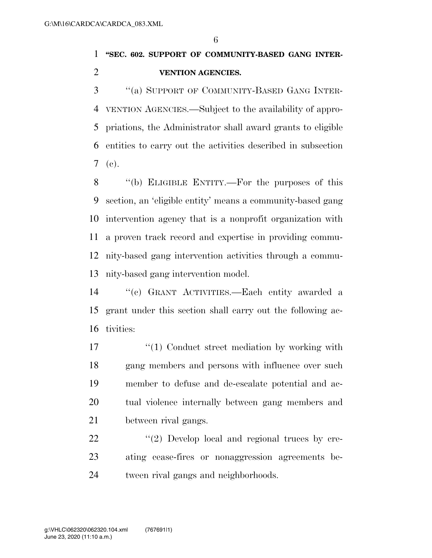### **''SEC. 602. SUPPORT OF COMMUNITY-BASED GANG INTER-VENTION AGENCIES.**

 ''(a) SUPPORT OF COMMUNITY-BASED GANG INTER- VENTION AGENCIES.—Subject to the availability of appro- priations, the Administrator shall award grants to eligible entities to carry out the activities described in subsection (c).

 ''(b) ELIGIBLE ENTITY.—For the purposes of this section, an 'eligible entity' means a community-based gang intervention agency that is a nonprofit organization with a proven track record and expertise in providing commu- nity-based gang intervention activities through a commu-nity-based gang intervention model.

 ''(c) GRANT ACTIVITIES.—Each entity awarded a grant under this section shall carry out the following ac-tivities:

17 ''(1) Conduct street mediation by working with gang members and persons with influence over such member to defuse and de-escalate potential and ac- tual violence internally between gang members and between rival gangs.

22  $\frac{1}{2}$  Develop local and regional truces by cre- ating cease-fires or nonaggression agreements be-tween rival gangs and neighborhoods.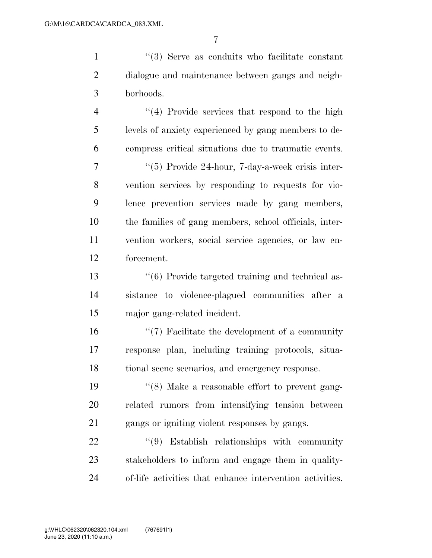1 ''(3) Serve as conduits who facilitate constant dialogue and maintenance between gangs and neigh-borhoods.

4 "(4) Provide services that respond to the high levels of anxiety experienced by gang members to de- compress critical situations due to traumatic events. ''(5) Provide 24-hour, 7-day-a-week crisis inter- vention services by responding to requests for vio- lence prevention services made by gang members, the families of gang members, school officials, inter- vention workers, social service agencies, or law en-forcement.

 ''(6) Provide targeted training and technical as- sistance to violence-plagued communities after a major gang-related incident.

 ''(7) Facilitate the development of a community response plan, including training protocols, situa-tional scene scenarios, and emergency response.

 ''(8) Make a reasonable effort to prevent gang- related rumors from intensifying tension between gangs or igniting violent responses by gangs.

22  $(9)$  Establish relationships with community stakeholders to inform and engage them in quality-of-life activities that enhance intervention activities.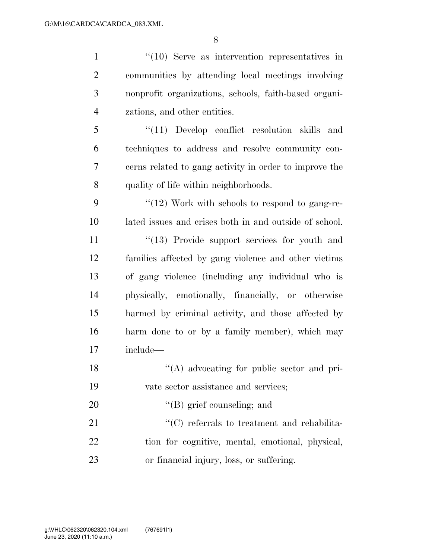1 ''(10) Serve as intervention representatives in communities by attending local meetings involving nonprofit organizations, schools, faith-based organi- zations, and other entities. ''(11) Develop conflict resolution skills and

 techniques to address and resolve community con- cerns related to gang activity in order to improve the quality of life within neighborhoods.

9  $\frac{4}{12}$  Work with schools to respond to gang-re-lated issues and crises both in and outside of school.

11 ''(13) Provide support services for youth and families affected by gang violence and other victims of gang violence (including any individual who is physically, emotionally, financially, or otherwise harmed by criminal activity, and those affected by harm done to or by a family member), which may include—

- 18 ''(A) advocating for public sector and pri-vate sector assistance and services;
- 20  $\text{``(B) grief counseling; and}$

21  $\cdot$  (C) referrals to treatment and rehabilita- tion for cognitive, mental, emotional, physical, or financial injury, loss, or suffering.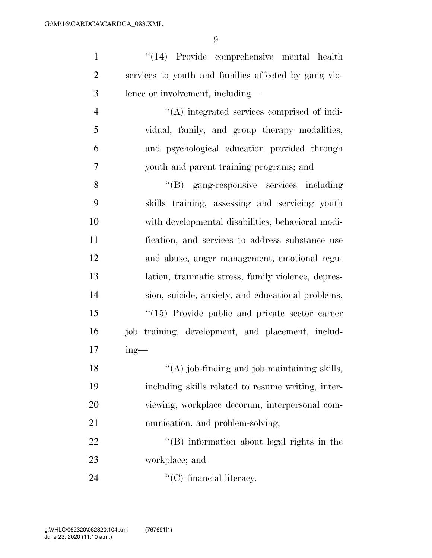| $\mathbf{1}$   | "(14) Provide comprehensive mental health            |
|----------------|------------------------------------------------------|
| $\overline{2}$ | services to youth and families affected by gang vio- |
| 3              | lence or involvement, including—                     |
| $\overline{4}$ | "(A) integrated services comprised of indi-          |
| 5              | vidual, family, and group therapy modalities,        |
| 6              | and psychological education provided through         |
| $\overline{7}$ | youth and parent training programs; and              |
| 8              | "(B) gang-responsive services including              |
| 9              | skills training, assessing and servicing youth       |
| 10             | with developmental disabilities, behavioral modi-    |
| 11             | fication, and services to address substance use      |
| 12             | and abuse, anger management, emotional regu-         |
| 13             | lation, traumatic stress, family violence, depres-   |
| 14             | sion, suicide, anxiety, and educational problems.    |
| 15             | "(15) Provide public and private sector career       |
| 16             | job training, development, and placement, includ-    |
| 17             | $ing$ —                                              |
| 18             | $\lq\lq$ (A) job-finding and job-maintaining skills, |
| 19             | including skills related to resume writing, inter-   |
| 20             | viewing, workplace decorum, interpersonal com-       |
| 21             | munication, and problem-solving;                     |
| 22             | $\lq\lq$ . Information about legal rights in the     |
| 23             | workplace; and                                       |
| 24             | $\lq\lq$ (C) financial literacy.                     |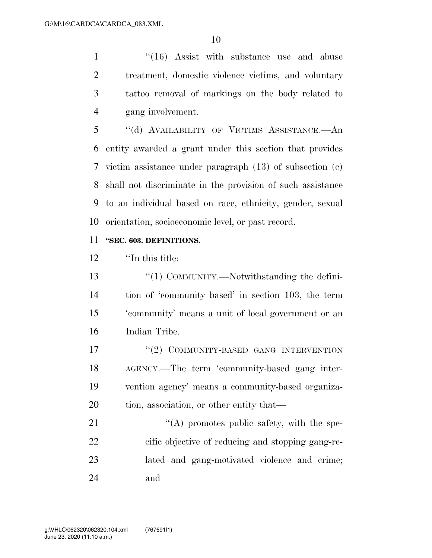1 ''(16) Assist with substance use and abuse treatment, domestic violence victims, and voluntary tattoo removal of markings on the body related to gang involvement.

 ''(d) AVAILABILITY OF VICTIMS ASSISTANCE.—An entity awarded a grant under this section that provides victim assistance under paragraph (13) of subsection (c) shall not discriminate in the provision of such assistance to an individual based on race, ethnicity, gender, sexual orientation, socioeconomic level, or past record.

#### **''SEC. 603. DEFINITIONS.**

''In this title:

13 "(1) COMMUNITY.—Notwithstanding the defini- tion of 'community based' in section 103, the term 'community' means a unit of local government or an Indian Tribe.

17 <sup>''</sup>(2) COMMUNITY-BASED GANG INTERVENTION AGENCY.—The term 'community-based gang inter- vention agency' means a community-based organiza-20 tion, association, or other entity that—

21 "(A) promotes public safety, with the spe- cific objective of reducing and stopping gang-re- lated and gang-motivated violence and crime; and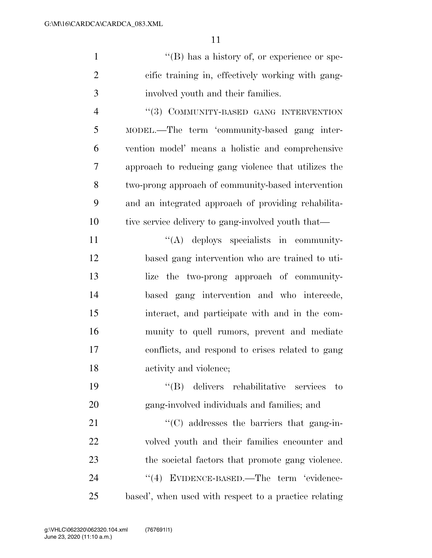|                | $\lq\lq (B)$ has a history of, or experience or spe- |
|----------------|------------------------------------------------------|
| $\overline{2}$ | cific training in, effectively working with gang-    |
| 3              | involved youth and their families.                   |

4 "(3) COMMUNITY-BASED GANG INTERVENTION MODEL.—The term 'community-based gang inter- vention model' means a holistic and comprehensive approach to reducing gang violence that utilizes the two-prong approach of community-based intervention and an integrated approach of providing rehabilita-10 tive service delivery to gang-involved youth that—

 $\langle (A) \rangle$  deploys specialists in community- based gang intervention who are trained to uti- lize the two-prong approach of community- based gang intervention and who intercede, interact, and participate with and in the com- munity to quell rumors, prevent and mediate conflicts, and respond to crises related to gang activity and violence;

 ''(B) delivers rehabilitative services to gang-involved individuals and families; and

 $\cdot$  (C) addresses the barriers that gang-in- volved youth and their families encounter and the societal factors that promote gang violence. 24 "(4) EVIDENCE-BASED.—The term 'evidence-based', when used with respect to a practice relating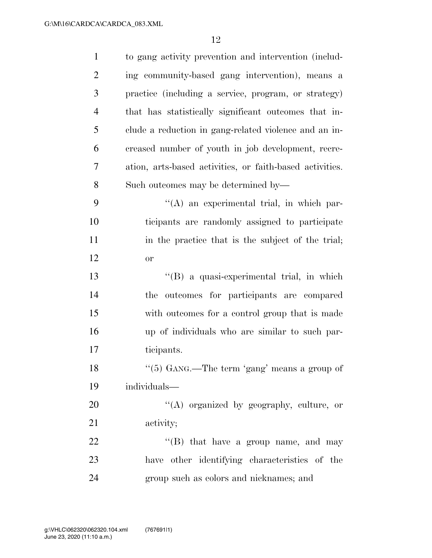| $\mathbf{1}$   | to gang activity prevention and intervention (includ-    |
|----------------|----------------------------------------------------------|
| $\overline{2}$ | ing community-based gang intervention), means a          |
| 3              | practice (including a service, program, or strategy)     |
| 4              | that has statistically significant outcomes that in-     |
| 5              | clude a reduction in gang-related violence and an in-    |
| 6              | creased number of youth in job development, recre-       |
| 7              | ation, arts-based activities, or faith-based activities. |
| 8              | Such outcomes may be determined by—                      |
| 9              | "(A) an experimental trial, in which par-                |
| 10             | ticipants are randomly assigned to participate           |
| 11             | in the practice that is the subject of the trial;        |
| 12             | or                                                       |
| 13             | "(B) a quasi-experimental trial, in which                |
| 14             | outcomes for participants are compared<br>the            |
| 15             | with outcomes for a control group that is made           |
| 16             | up of individuals who are similar to such par-           |
| 17             | ticipants.                                               |
| 18             | " $(5)$ GANG.—The term 'gang' means a group of           |
| 19             | individuals-                                             |
| 20             | "(A) organized by geography, culture, or                 |
| 21             | activity;                                                |
| 22             | $\lq\lq$ (B) that have a group name, and may             |
| 23             | have other identifying characteristics of the            |
| 24             | group such as colors and nicknames; and                  |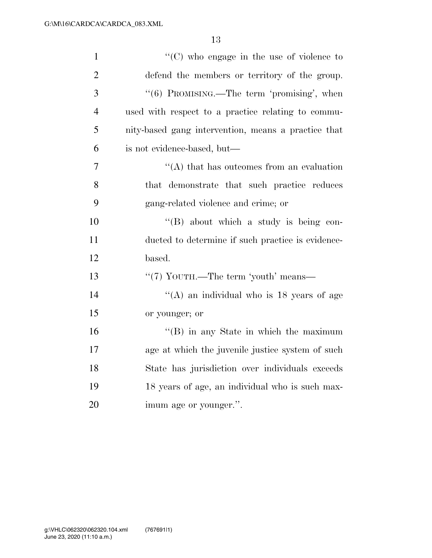| $\mathbf{1}$   | " $(C)$ who engage in the use of violence to        |
|----------------|-----------------------------------------------------|
| $\overline{2}$ | defend the members or territory of the group.       |
| 3              | "(6) PROMISING.—The term 'promising', when          |
| $\overline{4}$ | used with respect to a practice relating to commu-  |
| 5              | nity-based gang intervention, means a practice that |
| 6              | is not evidence-based, but—                         |
| 7              | $\lq\lq$ that has outcomes from an evaluation       |
| 8              | that demonstrate that such practice reduces         |
| 9              | gang-related violence and crime; or                 |
| 10             | $\lq\lq (B)$ about which a study is being con-      |
| 11             | ducted to determine if such practice is evidence-   |
| 12             | based.                                              |
| 13             | "(7) YOUTH.—The term 'youth' means—                 |
| 14             | "(A) an individual who is $18$ years of age         |
| 15             | or younger; or                                      |
| 16             | $\lq\lq$ (B) in any State in which the maximum      |
| 17             | age at which the juvenile justice system of such    |
| 18             | State has jurisdiction over individuals exceeds     |
| 19             | 18 years of age, an individual who is such max-     |
| 20             | imum age or younger.".                              |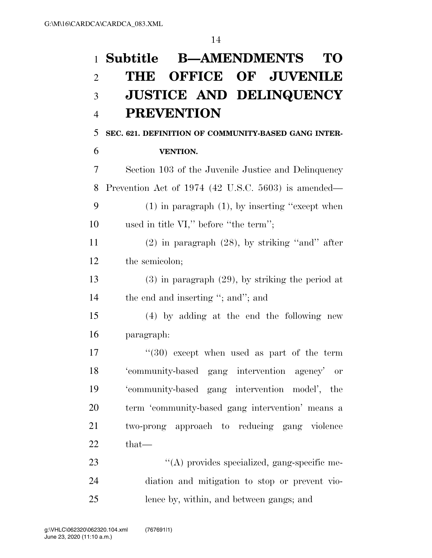|                | <b>B-AMENDMENTS</b><br>1 <b>Subtitle</b><br>TО        |
|----------------|-------------------------------------------------------|
| $\overline{2}$ | THE OFFICE OF JUVENILE                                |
| 3              | <b>JUSTICE AND DELINQUENCY</b>                        |
| $\overline{4}$ | <b>PREVENTION</b>                                     |
| 5              | SEC. 621. DEFINITION OF COMMUNITY-BASED GANG INTER-   |
| 6              | <b>VENTION.</b>                                       |
| 7              | Section 103 of the Juvenile Justice and Delinquency   |
| 8              | Prevention Act of 1974 (42 U.S.C. 5603) is amended—   |
| 9              | $(1)$ in paragraph $(1)$ , by inserting "except when  |
| 10             | used in title $VI$ ," before "the term";              |
| 11             | $(2)$ in paragraph $(28)$ , by striking "and" after   |
| 12             | the semicolon;                                        |
| 13             | $(3)$ in paragraph $(29)$ , by striking the period at |
| 14             | the end and inserting "; and"; and                    |
| 15             | $(4)$ by adding at the end the following new          |
| 16             | paragraph:                                            |
| 17             | $(30)$ except when used as part of the term           |
| 18             | 'community-based gang intervention agency' or         |
| 19             | 'community-based gang intervention model', the        |
| 20             | term 'community-based gang intervention' means a      |
| 21             | two-prong approach to reducing gang violence          |
| 22             | that-                                                 |
| 23             | $\lq\lq$ provides specialized, gang-specific me-      |
| 24             | diation and mitigation to stop or prevent vio-        |
| 25             | lence by, within, and between gangs; and              |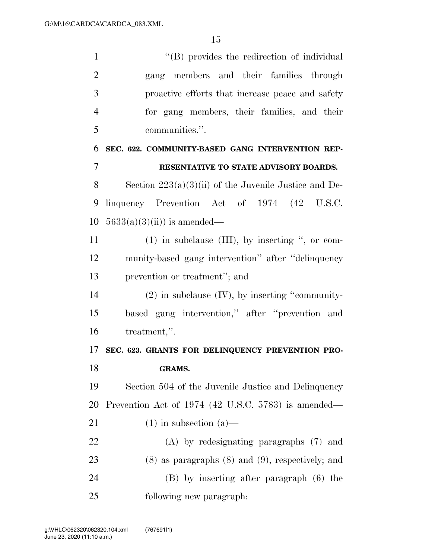$\langle (B)$  provides the redirection of individual gang members and their families through proactive efforts that increase peace and safety for gang members, their families, and their communities.''. **SEC. 622. COMMUNITY-BASED GANG INTERVENTION REP-RESENTATIVE TO STATE ADVISORY BOARDS.** 

 Section 223(a)(3)(ii) of the Juvenile Justice and De- linquency Prevention Act of 1974 (42 U.S.C. 10  $5633(a)(3)(ii)$  is amended—

 (1) in subclause (III), by inserting '', or com- munity-based gang intervention'' after ''delinquency prevention or treatment''; and

 (2) in subclause (IV), by inserting ''community- based gang intervention,'' after ''prevention and treatment,''.

### **SEC. 623. GRANTS FOR DELINQUENCY PREVENTION PRO-GRAMS.**

 Section 504 of the Juvenile Justice and Delinquency Prevention Act of 1974 (42 U.S.C. 5783) is amended—

- 21 (1) in subsection  $(a)$ —
- (A) by redesignating paragraphs (7) and (8) as paragraphs (8) and (9), respectively; and (B) by inserting after paragraph (6) the following new paragraph: